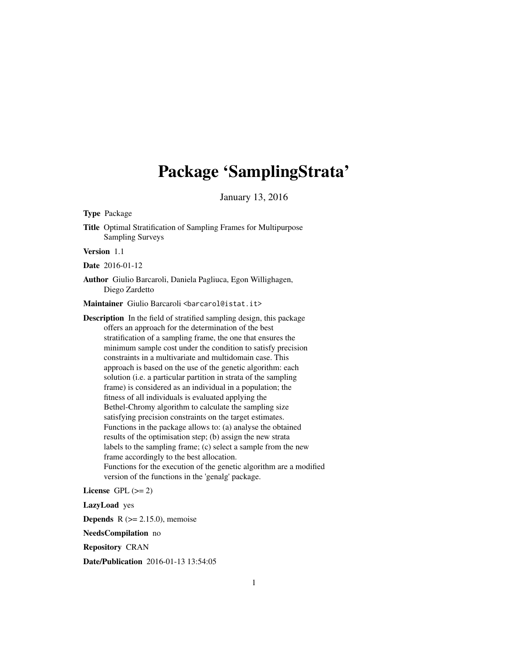# Package 'SamplingStrata'

January 13, 2016

Type Package

Title Optimal Stratification of Sampling Frames for Multipurpose Sampling Surveys

Version 1.1

Date 2016-01-12

Author Giulio Barcaroli, Daniela Pagliuca, Egon Willighagen, Diego Zardetto

Maintainer Giulio Barcaroli <br/>barcarol@istat.it>

Description In the field of stratified sampling design, this package offers an approach for the determination of the best stratification of a sampling frame, the one that ensures the minimum sample cost under the condition to satisfy precision constraints in a multivariate and multidomain case. This approach is based on the use of the genetic algorithm: each solution (i.e. a particular partition in strata of the sampling frame) is considered as an individual in a population; the fitness of all individuals is evaluated applying the Bethel-Chromy algorithm to calculate the sampling size satisfying precision constraints on the target estimates. Functions in the package allows to: (a) analyse the obtained results of the optimisation step; (b) assign the new strata labels to the sampling frame; (c) select a sample from the new frame accordingly to the best allocation. Functions for the execution of the genetic algorithm are a modified version of the functions in the 'genalg' package.

License GPL  $(>= 2)$ 

LazyLoad yes

**Depends** R  $(>= 2.15.0)$ , memoise

NeedsCompilation no

Repository CRAN

Date/Publication 2016-01-13 13:54:05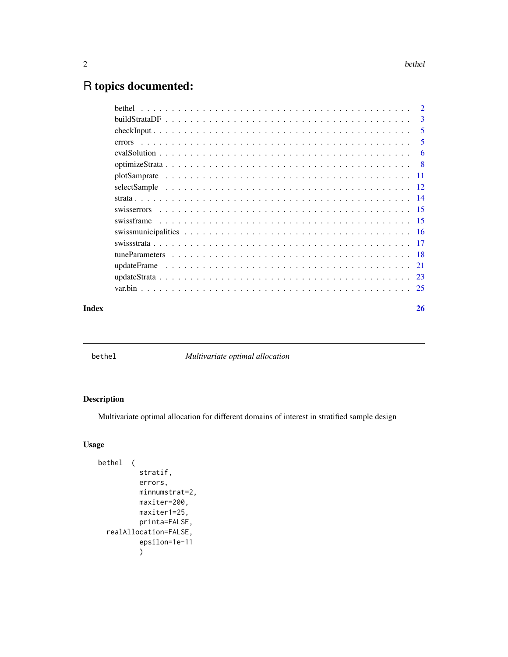## <span id="page-1-0"></span>R topics documented:

| Index | 26 |
|-------|----|
|       |    |
|       |    |
|       |    |
|       |    |
|       |    |
|       |    |
|       |    |
|       |    |
|       |    |
|       |    |
|       |    |
|       |    |
|       | -6 |
|       | 5  |
|       | 5  |
|       |    |
|       |    |

bethel *Multivariate optimal allocation*

#### Description

Multivariate optimal allocation for different domains of interest in stratified sample design

#### Usage

```
bethel (
          stratif,
          errors,
          minnumstrat=2,
          maxiter=200,
          maxiter1=25,
          printa=FALSE,
  realAllocation=FALSE,
          epsilon=1e-11
          )
```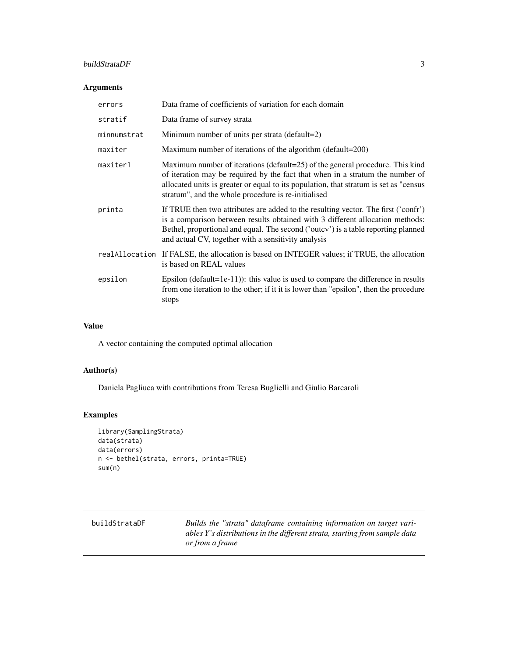#### <span id="page-2-0"></span>buildStrataDF 3

#### Arguments

| errors      | Data frame of coefficients of variation for each domain                                                                                                                                                                                                                                                         |
|-------------|-----------------------------------------------------------------------------------------------------------------------------------------------------------------------------------------------------------------------------------------------------------------------------------------------------------------|
| stratif     | Data frame of survey strata                                                                                                                                                                                                                                                                                     |
| minnumstrat | Minimum number of units per strata (default=2)                                                                                                                                                                                                                                                                  |
| maxiter     | Maximum number of iterations of the algorithm (default=200)                                                                                                                                                                                                                                                     |
| maxiter1    | Maximum number of iterations (default=25) of the general procedure. This kind<br>of iteration may be required by the fact that when in a stratum the number of<br>allocated units is greater or equal to its population, that stratum is set as "census"<br>stratum", and the whole procedure is re-initialised |
| printa      | If TRUE then two attributes are added to the resulting vector. The first ('confr')<br>is a comparison between results obtained with 3 different allocation methods:<br>Bethel, proportional and equal. The second ('outcy') is a table reporting planned<br>and actual CV, together with a sensitivity analysis |
|             | real Allocation If FALSE, the allocation is based on INTEGER values; if TRUE, the allocation<br>is based on REAL values                                                                                                                                                                                         |
| epsilon     | Epsilon (default=1e-11)): this value is used to compare the difference in results<br>from one iteration to the other; if it it is lower than "epsilon", then the procedure<br>stops                                                                                                                             |

#### Value

A vector containing the computed optimal allocation

#### Author(s)

Daniela Pagliuca with contributions from Teresa Buglielli and Giulio Barcaroli

```
library(SamplingStrata)
data(strata)
data(errors)
n <- bethel(strata, errors, printa=TRUE)
sum(n)
```

| buildStrataDF | Builds the "strata" dataframe containing information on target vari-       |
|---------------|----------------------------------------------------------------------------|
|               | ables Y's distributions in the different strata, starting from sample data |
|               | or from a frame                                                            |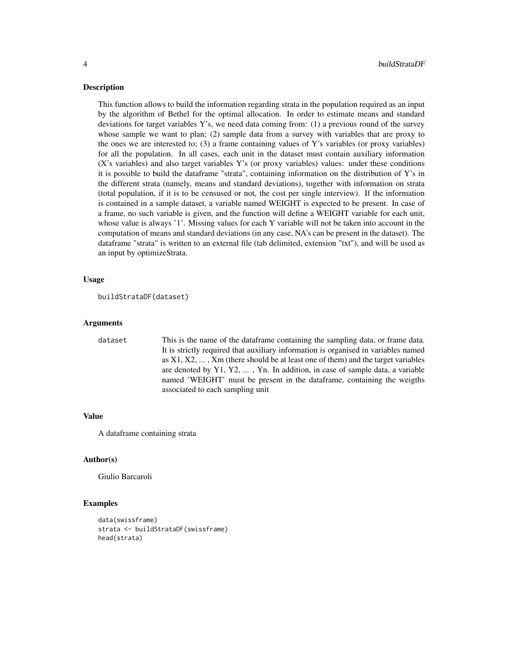#### Description

This function allows to build the information regarding strata in the population required as an input by the algorithm of Bethel for the optimal allocation. In order to estimate means and standard deviations for target variables Y's, we need data coming from: (1) a previous round of the survey whose sample we want to plan; (2) sample data from a survey with variables that are proxy to the ones we are interested to;  $(3)$  a frame containing values of Y's variables (or proxy variables) for all the population. In all cases, each unit in the dataset must contain auxiliary information (X's variables) and also target variables Y's (or proxy variables) values: under these conditions it is possible to build the dataframe "strata", containing information on the distribution of Y's in the different strata (namely, means and standard deviations), together with information on strata (total population, if it is to be censused or not, the cost per single interview). If the information is contained in a sample dataset, a variable named WEIGHT is expected to be present. In case of a frame, no such variable is given, and the function will define a WEIGHT variable for each unit, whose value is always '1'. Missing values for each Y variable will not be taken into account in the computation of means and standard deviations (in any case, NA's can be present in the dataset). The dataframe "strata" is written to an external file (tab delimited, extension "txt"), and will be used as an input by optimizeStrata.

#### Usage

```
buildStrataDF(dataset)
```
#### Arguments

dataset This is the name of the dataframe containing the sampling data, or frame data. It is strictly required that auxiliary information is organised in variables named as  $X1, X2, \ldots, Xm$  (there should be at least one of them) and the target variables are denoted by Y1, Y2, ... , Yn. In addition, in case of sample data, a variable named 'WEIGHT' must be present in the dataframe, containing the weigths associated to each sampling unit

#### Value

A dataframe containing strata

#### Author(s)

Giulio Barcaroli

```
data(swissframe)
strata <- buildStrataDF(swissframe)
head(strata)
```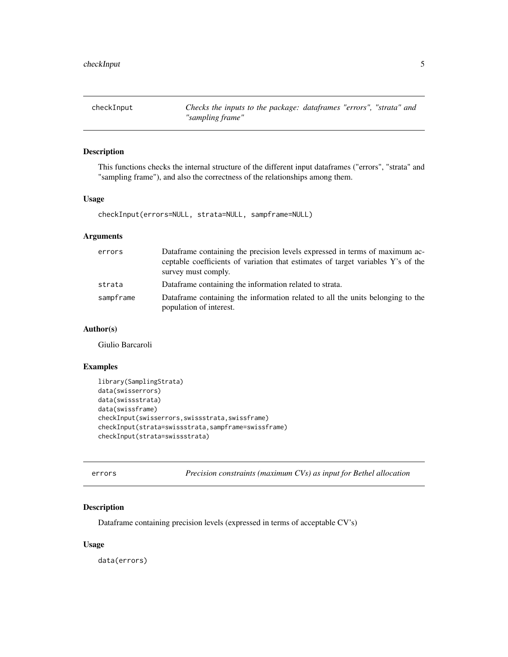<span id="page-4-0"></span>checkInput *Checks the inputs to the package: dataframes "errors", "strata" and "sampling frame"*

#### Description

This functions checks the internal structure of the different input dataframes ("errors", "strata" and "sampling frame"), and also the correctness of the relationships among them.

#### Usage

checkInput(errors=NULL, strata=NULL, sampframe=NULL)

#### Arguments

| errors    | Dataframe containing the precision levels expressed in terms of maximum ac-<br>ceptable coefficients of variation that estimates of target variables Y's of the |
|-----------|-----------------------------------------------------------------------------------------------------------------------------------------------------------------|
|           | survey must comply.                                                                                                                                             |
| strata    | Dataframe containing the information related to strata.                                                                                                         |
| sampframe | Dataframe containing the information related to all the units belonging to the<br>population of interest.                                                       |

#### Author(s)

Giulio Barcaroli

#### Examples

```
library(SamplingStrata)
data(swisserrors)
data(swissstrata)
data(swissframe)
checkInput(swisserrors,swissstrata,swissframe)
checkInput(strata=swissstrata,sampframe=swissframe)
checkInput(strata=swissstrata)
```
errors *Precision constraints (maximum CVs) as input for Bethel allocation*

#### Description

Dataframe containing precision levels (expressed in terms of acceptable CV's)

#### Usage

data(errors)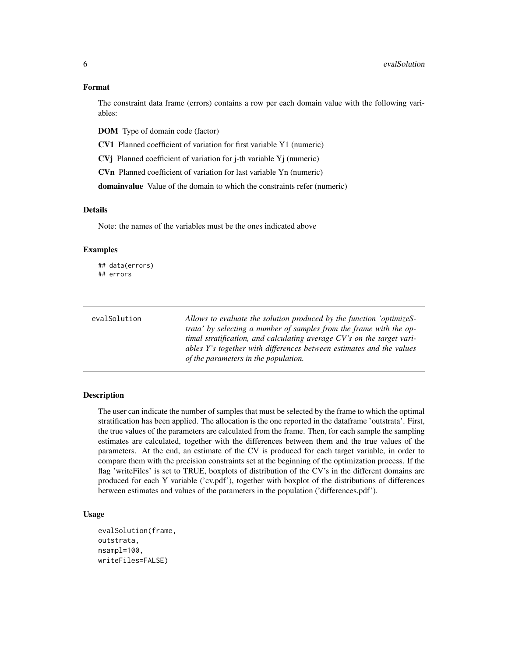#### Format

The constraint data frame (errors) contains a row per each domain value with the following variables:

DOM Type of domain code (factor)

CV1 Planned coefficient of variation for first variable Y1 (numeric)

CVj Planned coefficient of variation for j-th variable Yj (numeric)

CVn Planned coefficient of variation for last variable Yn (numeric)

domainvalue Value of the domain to which the constraints refer (numeric)

#### Details

Note: the names of the variables must be the ones indicated above

#### Examples

## data(errors) ## errors

| evalSolution | Allows to evaluate the solution produced by the function 'optimizeS-   |
|--------------|------------------------------------------------------------------------|
|              | trata' by selecting a number of samples from the frame with the op-    |
|              | timal stratification, and calculating average CV's on the target vari- |
|              | ables Y's together with differences between estimates and the values   |
|              | of the parameters in the population.                                   |

#### Description

The user can indicate the number of samples that must be selected by the frame to which the optimal stratification has been applied. The allocation is the one reported in the dataframe 'outstrata'. First, the true values of the parameters are calculated from the frame. Then, for each sample the sampling estimates are calculated, together with the differences between them and the true values of the parameters. At the end, an estimate of the CV is produced for each target variable, in order to compare them with the precision constraints set at the beginning of the optimization process. If the flag 'writeFiles' is set to TRUE, boxplots of distribution of the CV's in the different domains are produced for each Y variable ('cv.pdf'), together with boxplot of the distributions of differences between estimates and values of the parameters in the population ('differences.pdf').

#### Usage

```
evalSolution(frame,
outstrata,
nsampl=100,
writeFiles=FALSE)
```
<span id="page-5-0"></span>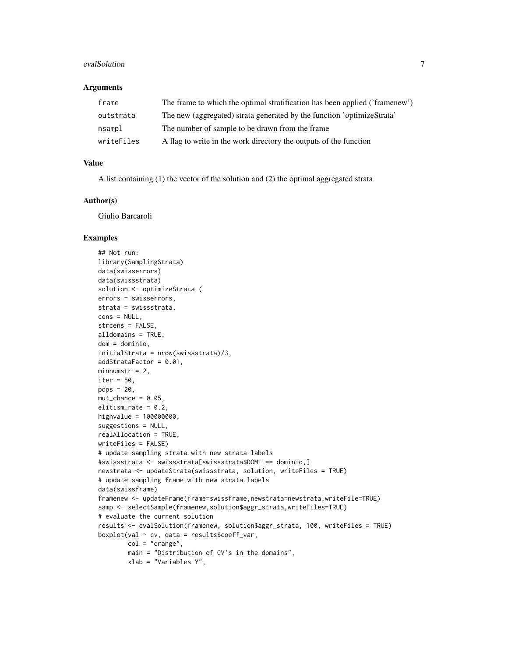#### evalSolution 7 and 2008 and 2008 and 2008 and 2008 and 2008 and 2008 and 2008 and 2008 and 2008 and 2008 and 2008 and 2008 and 2008 and 2008 and 2008 and 2008 and 2008 and 2008 and 2008 and 2008 and 2008 and 2008 and 2008

#### **Arguments**

| frame      | The frame to which the optimal stratification has been applied ('framenew') |
|------------|-----------------------------------------------------------------------------|
| outstrata  | The new (aggregated) strata generated by the function 'optimizeStrata'      |
| nsampl     | The number of sample to be drawn from the frame                             |
| writeFiles | A flag to write in the work directory the outputs of the function           |

#### Value

A list containing (1) the vector of the solution and (2) the optimal aggregated strata

## Author(s)

Giulio Barcaroli

```
## Not run:
library(SamplingStrata)
data(swisserrors)
data(swissstrata)
solution <- optimizeStrata (
errors = swisserrors,
strata = swissstrata,
cens = NULL,
strcens = FALSE,
alldomains = TRUE,
dom = dominio,
initialStrata = nrow(swissstrata)/3,
addStrataFactor = 0.01,
minnumstr = 2,
iter = 50,
pops = 20,
mut{\_}chance = 0.05,
elitism_rate = 0.2,
highvalue = 100000000,
suggestions = NULL,
realAllocation = TRUE,
writeFiles = FALSE)
# update sampling strata with new strata labels
#swissstrata <- swissstrata[swissstrata$DOM1 == dominio,]
newstrata <- updateStrata(swissstrata, solution, writeFiles = TRUE)
# update sampling frame with new strata labels
data(swissframe)
framenew <- updateFrame(frame=swissframe,newstrata=newstrata,writeFile=TRUE)
samp <- selectSample(framenew, solution$aggr_strata,writeFiles=TRUE)
# evaluate the current solution
results <- evalSolution(framenew, solution$aggr_strata, 100, writeFiles = TRUE)
boxplot(val \sim cv, data = results%coeff\_var,col = "orange",
        main = "Distribution of CV's in the domains",
        xlab = "Variables Y",
```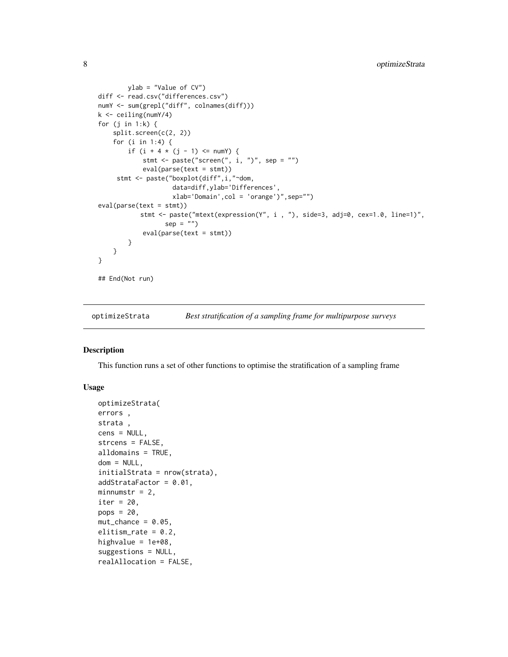```
ylab = "Value of CV")
diff <- read.csv("differences.csv")
numY <- sum(grepl("diff", colnames(diff)))
k <- ceiling(numY/4)
for (j in 1:k) {
   split.screen(c(2, 2))
    for (i in 1:4) {
        if (i + 4 * (j - 1) \leq numY) {
            stmt \leq paste("screen(", i, ")", sep = "")
            eval(parse(text = stmt))
     stmt <- paste("boxplot(diff",i,"~dom,
                    data=diff,ylab='Differences',
                    xlab='Domain',col = 'orange')",sep="")
eval(parse(text = stmt))
           stmt <- paste("mtext(expression(Y", i , "), side=3, adj=0, cex=1.0, line=1)",
                  sep = "")eval(parse(text = stmt))
        }
    }
}
## End(Not run)
```

```
optimizeStrata Best stratification of a sampling frame for multipurpose surveys
```
#### Description

This function runs a set of other functions to optimise the stratification of a sampling frame

#### Usage

```
optimizeStrata(
errors ,
strata ,
cens = NULL,
strcens = FALSE,
alldomains = TRUE,
dom = NULL,initialStrata = nrow(strata),
addStrataFactor = 0.01,
minnumstr = 2,
iter = 20,
pops = 20.
mut{\_}chance = 0.05,elitism_rate = 0.2,
highvalue = 1e+08,
suggestions = NULL,
realAllocation = FALSE,
```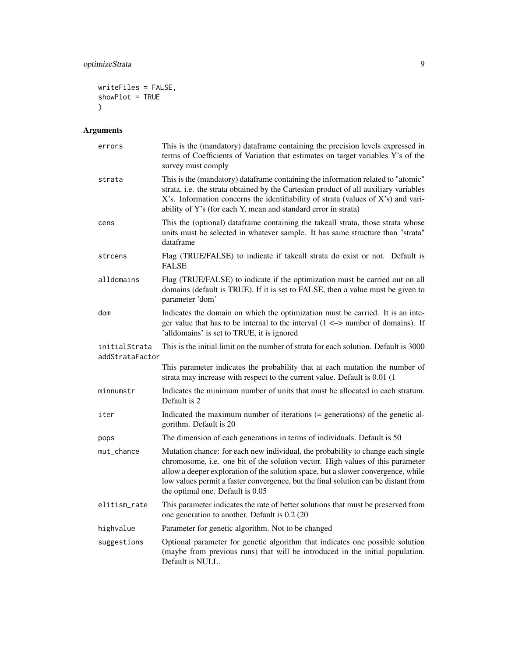```
writeFiles = FALSE,
showPlot = TRUE
\mathcal{L}
```
### Arguments

| errors                           | This is the (mandatory) dataframe containing the precision levels expressed in<br>terms of Coefficients of Variation that estimates on target variables Y's of the<br>survey must comply                                                                                                                                                                                         |
|----------------------------------|----------------------------------------------------------------------------------------------------------------------------------------------------------------------------------------------------------------------------------------------------------------------------------------------------------------------------------------------------------------------------------|
| strata                           | This is the (mandatory) dataframe containing the information related to "atomic"<br>strata, i.e. the strata obtained by the Cartesian product of all auxiliary variables<br>X's. Information concerns the identifiability of strata (values of X's) and vari-<br>ability of Y's (for each Y, mean and standard error in strata)                                                  |
| cens                             | This the (optional) dataframe containing the takeall strata, those strata whose<br>units must be selected in whatever sample. It has same structure than "strata"<br>dataframe                                                                                                                                                                                                   |
| strcens                          | Flag (TRUE/FALSE) to indicate if takeall strata do exist or not. Default is<br><b>FALSE</b>                                                                                                                                                                                                                                                                                      |
| alldomains                       | Flag (TRUE/FALSE) to indicate if the optimization must be carried out on all<br>domains (default is TRUE). If it is set to FALSE, then a value must be given to<br>parameter 'dom'                                                                                                                                                                                               |
| dom                              | Indicates the domain on which the optimization must be carried. It is an inte-<br>ger value that has to be internal to the interval $(1 \le$ > number of domains). If<br>'alldomains' is set to TRUE, it is ignored                                                                                                                                                              |
| initialStrata<br>addStrataFactor | This is the initial limit on the number of strata for each solution. Default is 3000                                                                                                                                                                                                                                                                                             |
|                                  | This parameter indicates the probability that at each mutation the number of<br>strata may increase with respect to the current value. Default is 0.01 (1)                                                                                                                                                                                                                       |
| minnumstr                        | Indicates the minimum number of units that must be allocated in each stratum.<br>Default is 2                                                                                                                                                                                                                                                                                    |
| iter                             | Indicated the maximum number of iterations (= generations) of the genetic al-<br>gorithm. Default is 20                                                                                                                                                                                                                                                                          |
| pops                             | The dimension of each generations in terms of individuals. Default is 50                                                                                                                                                                                                                                                                                                         |
| mut_chance                       | Mutation chance: for each new individual, the probability to change each single<br>chromosome, i.e. one bit of the solution vector. High values of this parameter<br>allow a deeper exploration of the solution space, but a slower convergence, while<br>low values permit a faster convergence, but the final solution can be distant from<br>the optimal one. Default is 0.05 |
| elitism_rate                     | This parameter indicates the rate of better solutions that must be preserved from<br>one generation to another. Default is 0.2 (20                                                                                                                                                                                                                                               |
| highvalue                        | Parameter for genetic algorithm. Not to be changed                                                                                                                                                                                                                                                                                                                               |
| suggestions                      | Optional parameter for genetic algorithm that indicates one possible solution<br>(maybe from previous runs) that will be introduced in the initial population.<br>Default is NULL.                                                                                                                                                                                               |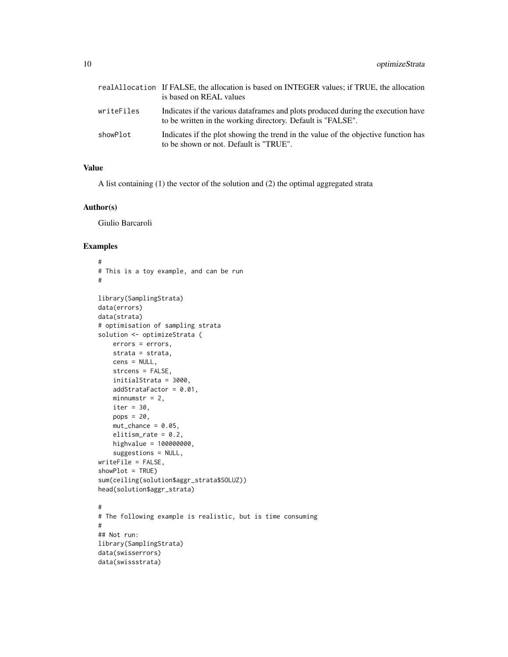|            | real Allocation If FALSE, the allocation is based on INTEGER values; if TRUE, the allocation<br>is based on REAL values                          |
|------------|--------------------------------------------------------------------------------------------------------------------------------------------------|
| writeFiles | Indicates if the various data frames and plots produced during the execution have<br>to be written in the working directory. Default is "FALSE". |
| showPlot   | Indicates if the plot showing the trend in the value of the objective function has<br>to be shown or not. Default is "TRUE".                     |

#### Value

A list containing (1) the vector of the solution and (2) the optimal aggregated strata

#### Author(s)

Giulio Barcaroli

```
#
# This is a toy example, and can be run
#
library(SamplingStrata)
data(errors)
data(strata)
# optimisation of sampling strata
solution <- optimizeStrata (
    errors = errors,
   strata = strata,
   cens = NULL,
    strcens = FALSE,
    initialStrata = 3000,
    addStrataFactor = 0.01,
    minnumstr = 2,
    iter = 30,
    pops = 20,
    mut{\_}chance = 0.05,elitism_rate = 0.2,
    highvalue = 100000000,
    suggestions = NULL,
writeFile = FALSE,
showPlot = TRUE)
sum(ceiling(solution$aggr_strata$SOLUZ))
head(solution$aggr_strata)
#
# The following example is realistic, but is time consuming
#
## Not run:
library(SamplingStrata)
data(swisserrors)
data(swissstrata)
```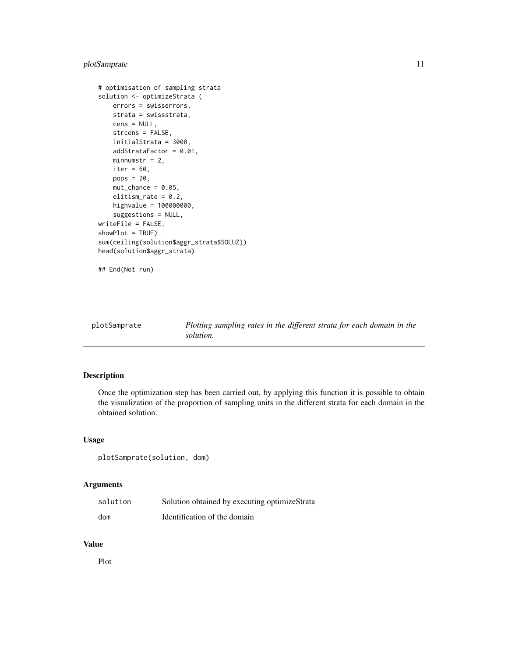#### <span id="page-10-0"></span>plotSamprate 11

```
# optimisation of sampling strata
solution <- optimizeStrata (
   errors = swisserrors,
   strata = swissstrata,
   cens = NULL,
   strcens = FALSE,
   initialStrata = 3000,
   addStrataFactor = 0.01,
   minnumstr = 2,
   iter = 60,
   pops = 20,
   mut{\_}chance = 0.05,elitism_rate = 0.2,
   highvalue = 100000000,
    suggestions = NULL,
writeFile = FALSE,
showPlot = TRUE)
sum(ceiling(solution$aggr_strata$SOLUZ))
head(solution$aggr_strata)
```
## End(Not run)

plotSamprate *Plotting sampling rates in the different strata for each domain in the solution.*

#### Description

Once the optimization step has been carried out, by applying this function it is possible to obtain the visualization of the proportion of sampling units in the different strata for each domain in the obtained solution.

#### Usage

plotSamprate(solution, dom)

#### Arguments

| solution | Solution obtained by executing optimizeStrata |
|----------|-----------------------------------------------|
| dom      | Identification of the domain                  |

#### Value

Plot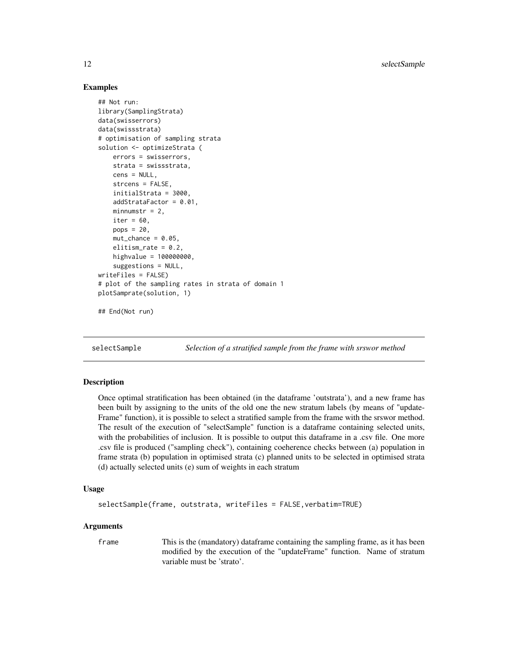#### Examples

```
## Not run:
library(SamplingStrata)
data(swisserrors)
data(swissstrata)
# optimisation of sampling strata
solution <- optimizeStrata (
    errors = swisserrors,
    strata = swissstrata,
    cens = NULL,
    strcens = FALSE,
    initialStrata = 3000,
    addStrataFactor = 0.01,
   minnumstr = 2,
    iter = 60,
    pops = 20,
    mut{\_}chance = 0.05,
    elitism_rate = 0.2,
   highvalue = 100000000,
    suggestions = NULL,
writeFiles = FALSE)
# plot of the sampling rates in strata of domain 1
plotSamprate(solution, 1)
```

```
## End(Not run)
```
selectSample *Selection of a stratified sample from the frame with srswor method*

#### Description

Once optimal stratification has been obtained (in the dataframe 'outstrata'), and a new frame has been built by assigning to the units of the old one the new stratum labels (by means of "update-Frame" function), it is possible to select a stratified sample from the frame with the srswor method. The result of the execution of "selectSample" function is a dataframe containing selected units, with the probabilities of inclusion. It is possible to output this dataframe in a .csv file. One more .csv file is produced ("sampling check"), containing coeherence checks between (a) population in frame strata (b) population in optimised strata (c) planned units to be selected in optimised strata (d) actually selected units (e) sum of weights in each stratum

#### Usage

```
selectSample(frame, outstrata, writeFiles = FALSE,verbatim=TRUE)
```
#### Arguments

frame This is the (mandatory) dataframe containing the sampling frame, as it has been modified by the execution of the "updateFrame" function. Name of stratum variable must be 'strato'.

<span id="page-11-0"></span>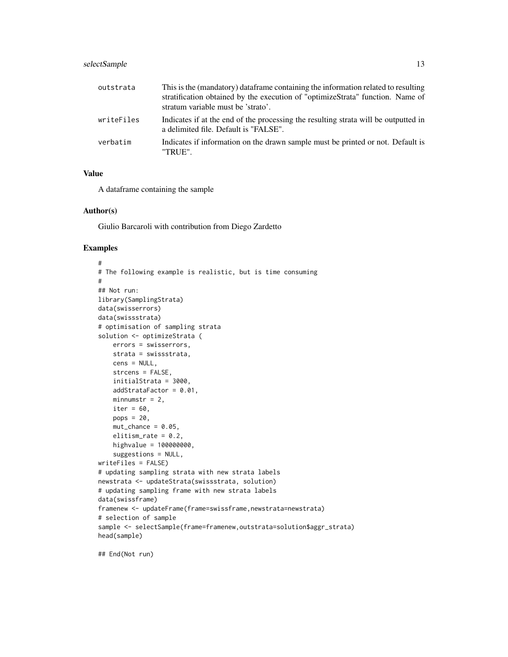#### selectSample 13

| outstrata  | This is the (mandatory) data frame containing the information related to resulting<br>stratification obtained by the execution of "optimizeStrata" function. Name of<br>stratum variable must be 'strato'. |
|------------|------------------------------------------------------------------------------------------------------------------------------------------------------------------------------------------------------------|
| writeFiles | Indicates if at the end of the processing the resulting strata will be outputted in<br>a delimited file. Default is "FALSE".                                                                               |
| verbatim   | Indicates if information on the drawn sample must be printed or not. Default is<br>"TRUE".                                                                                                                 |

#### Value

A dataframe containing the sample

#### Author(s)

Giulio Barcaroli with contribution from Diego Zardetto

#### Examples

```
#
# The following example is realistic, but is time consuming
#
## Not run:
library(SamplingStrata)
data(swisserrors)
data(swissstrata)
# optimisation of sampling strata
solution <- optimizeStrata (
   errors = swisserrors,
   strata = swissstrata,
   cens = NULL,
   strcens = FALSE,
    initialStrata = 3000,
   addStrataFactor = 0.01,
   minnumstr = 2,
   iter = 60,
   pops = 20,mut{\_}chance = 0.05,elitism_rate = 0.2,
   highvalue = 100000000,
    suggestions = NULL,
writeFiles = FALSE)
# updating sampling strata with new strata labels
newstrata <- updateStrata(swissstrata, solution)
# updating sampling frame with new strata labels
data(swissframe)
framenew <- updateFrame(frame=swissframe,newstrata=newstrata)
# selection of sample
sample <- selectSample(frame=framenew,outstrata=solution$aggr_strata)
head(sample)
```
## End(Not run)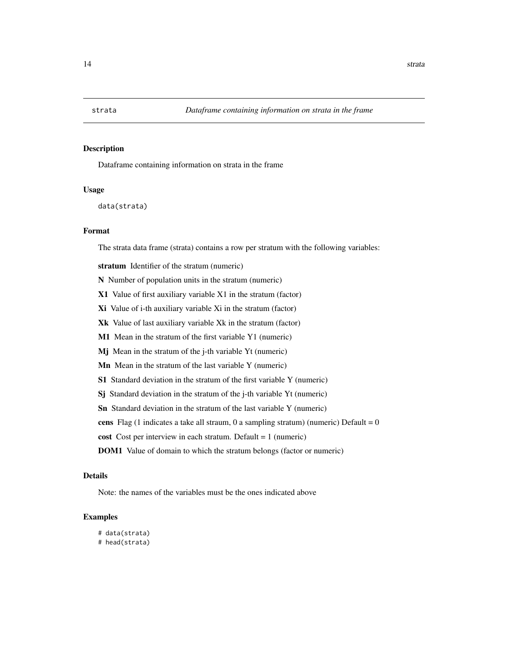<span id="page-13-0"></span>

#### Description

Dataframe containing information on strata in the frame

#### Usage

data(strata)

#### Format

The strata data frame (strata) contains a row per stratum with the following variables:

stratum Identifier of the stratum (numeric)

N Number of population units in the stratum (numeric)

X1 Value of first auxiliary variable X1 in the stratum (factor)

Xi Value of i-th auxiliary variable Xi in the stratum (factor)

Xk Value of last auxiliary variable Xk in the stratum (factor)

M1 Mean in the stratum of the first variable Y1 (numeric)

Mj Mean in the stratum of the j-th variable Yt (numeric)

Mn Mean in the stratum of the last variable Y (numeric)

S1 Standard deviation in the stratum of the first variable Y (numeric)

Sj Standard deviation in the stratum of the j-th variable Yt (numeric)

Sn Standard deviation in the stratum of the last variable Y (numeric)

cens Flag (1 indicates a take all straum, 0 a sampling stratum) (numeric) Default =  $0$ 

cost Cost per interview in each stratum. Default = 1 (numeric)

DOM1 Value of domain to which the stratum belongs (factor or numeric)

#### Details

Note: the names of the variables must be the ones indicated above

```
# data(strata)
# head(strata)
```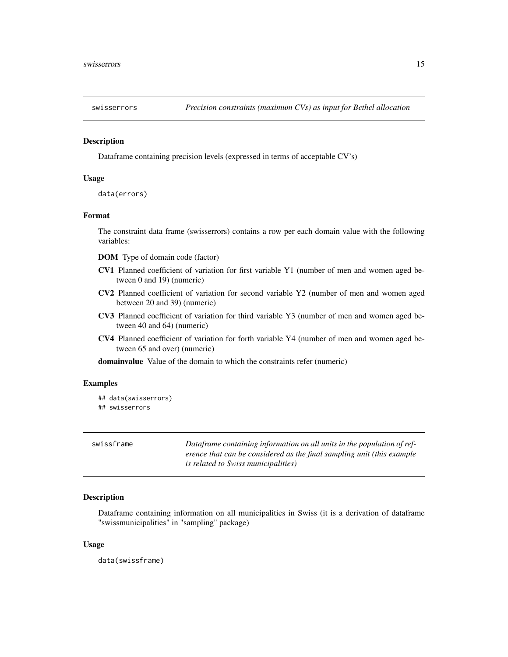<span id="page-14-0"></span>

#### Description

Dataframe containing precision levels (expressed in terms of acceptable CV's)

#### Usage

```
data(errors)
```
#### Format

The constraint data frame (swisserrors) contains a row per each domain value with the following variables:

DOM Type of domain code (factor)

- CV1 Planned coefficient of variation for first variable Y1 (number of men and women aged between 0 and 19) (numeric)
- CV2 Planned coefficient of variation for second variable Y2 (number of men and women aged between 20 and 39) (numeric)
- CV3 Planned coefficient of variation for third variable Y3 (number of men and women aged between 40 and 64) (numeric)
- CV4 Planned coefficient of variation for forth variable Y4 (number of men and women aged between 65 and over) (numeric)

domainvalue Value of the domain to which the constraints refer (numeric)

#### Examples

```
## data(swisserrors)
## swisserrors
```

| swissframe | Dataframe containing information on all units in the population of ref- |
|------------|-------------------------------------------------------------------------|
|            | erence that can be considered as the final sampling unit (this example  |
|            | <i>is related to Swiss municipalities</i> )                             |

#### Description

Dataframe containing information on all municipalities in Swiss (it is a derivation of dataframe "swissmunicipalities" in "sampling" package)

#### Usage

data(swissframe)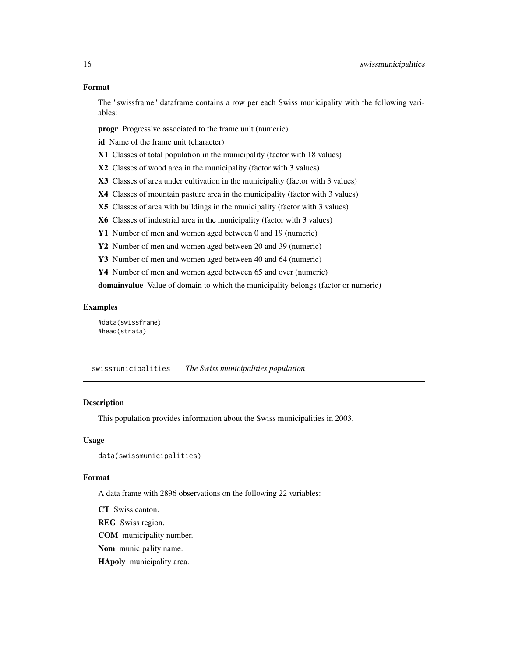#### <span id="page-15-0"></span>Format

The "swissframe" dataframe contains a row per each Swiss municipality with the following variables:

progr Progressive associated to the frame unit (numeric)

id Name of the frame unit (character)

X1 Classes of total population in the municipality (factor with 18 values)

X2 Classes of wood area in the municipality (factor with 3 values)

X3 Classes of area under cultivation in the municipality (factor with 3 values)

X4 Classes of mountain pasture area in the municipality (factor with 3 values)

X5 Classes of area with buildings in the municipality (factor with 3 values)

X6 Classes of industrial area in the municipality (factor with 3 values)

Y1 Number of men and women aged between 0 and 19 (numeric)

Y2 Number of men and women aged between 20 and 39 (numeric)

Y3 Number of men and women aged between 40 and 64 (numeric)

Y4 Number of men and women aged between 65 and over (numeric)

domainvalue Value of domain to which the municipality belongs (factor or numeric)

#### Examples

#data(swissframe) #head(strata)

swissmunicipalities *The Swiss municipalities population*

#### **Description**

This population provides information about the Swiss municipalities in 2003.

#### Usage

```
data(swissmunicipalities)
```
#### Format

A data frame with 2896 observations on the following 22 variables:

CT Swiss canton.

REG Swiss region.

COM municipality number.

Nom municipality name.

HApoly municipality area.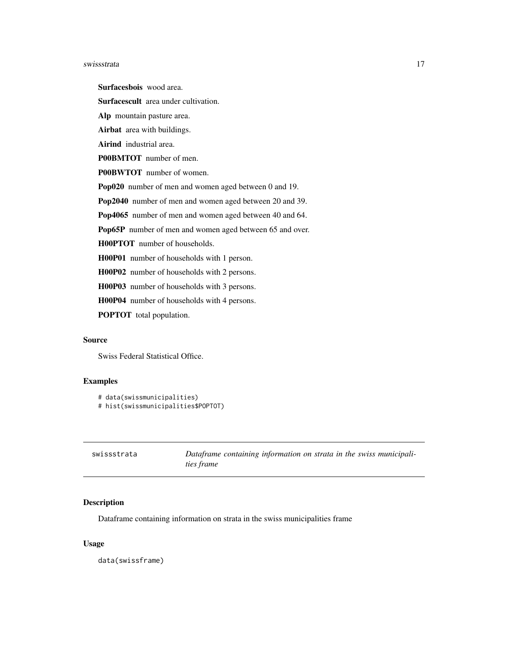#### <span id="page-16-0"></span>swissstrata and the state of the state of the state of the state of the state of the state of the state of the state of the state of the state of the state of the state of the state of the state of the state of the state o

Surfacesbois wood area.

Surfacescult area under cultivation.

Alp mountain pasture area.

Airbat area with buildings.

Airind industrial area.

P00BMTOT number of men.

P00BWTOT number of women.

Pop020 number of men and women aged between 0 and 19.

Pop2040 number of men and women aged between 20 and 39.

Pop4065 number of men and women aged between 40 and 64.

Pop65P number of men and women aged between 65 and over.

H00PTOT number of households.

H00P01 number of households with 1 person.

H00P02 number of households with 2 persons.

H00P03 number of households with 3 persons.

H00P04 number of households with 4 persons.

POPTOT total population.

#### Source

Swiss Federal Statistical Office.

#### Examples

```
# data(swissmunicipalities)
# hist(swissmunicipalities$POPTOT)
```

| swissstrata | Dataframe containing information on strata in the swiss municipali- |
|-------------|---------------------------------------------------------------------|
|             | <i>ties frame</i>                                                   |

#### Description

Dataframe containing information on strata in the swiss municipalities frame

#### Usage

data(swissframe)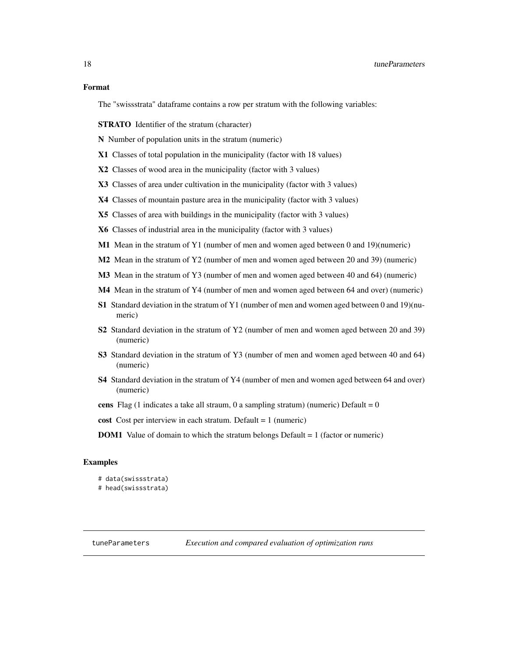#### <span id="page-17-0"></span>Format

The "swissstrata" dataframe contains a row per stratum with the following variables:

STRATO Identifier of the stratum (character)

N Number of population units in the stratum (numeric)

- X1 Classes of total population in the municipality (factor with 18 values)
- X2 Classes of wood area in the municipality (factor with 3 values)
- X3 Classes of area under cultivation in the municipality (factor with 3 values)
- X4 Classes of mountain pasture area in the municipality (factor with 3 values)
- X5 Classes of area with buildings in the municipality (factor with 3 values)
- X6 Classes of industrial area in the municipality (factor with 3 values)
- M1 Mean in the stratum of Y1 (number of men and women aged between 0 and 19)(numeric)
- M2 Mean in the stratum of Y2 (number of men and women aged between 20 and 39) (numeric)
- M3 Mean in the stratum of Y3 (number of men and women aged between 40 and 64) (numeric)
- M4 Mean in the stratum of Y4 (number of men and women aged between 64 and over) (numeric)
- S1 Standard deviation in the stratum of Y1 (number of men and women aged between 0 and 19)(numeric)
- S2 Standard deviation in the stratum of Y2 (number of men and women aged between 20 and 39) (numeric)
- S3 Standard deviation in the stratum of Y3 (number of men and women aged between 40 and 64) (numeric)
- S4 Standard deviation in the stratum of Y4 (number of men and women aged between 64 and over) (numeric)
- cens Flag (1 indicates a take all straum, 0 a sampling stratum) (numeric) Default =  $0$
- cost Cost per interview in each stratum. Default = 1 (numeric)
- **DOM1** Value of domain to which the stratum belongs Default = 1 (factor or numeric)

#### Examples

# data(swissstrata) # head(swissstrata)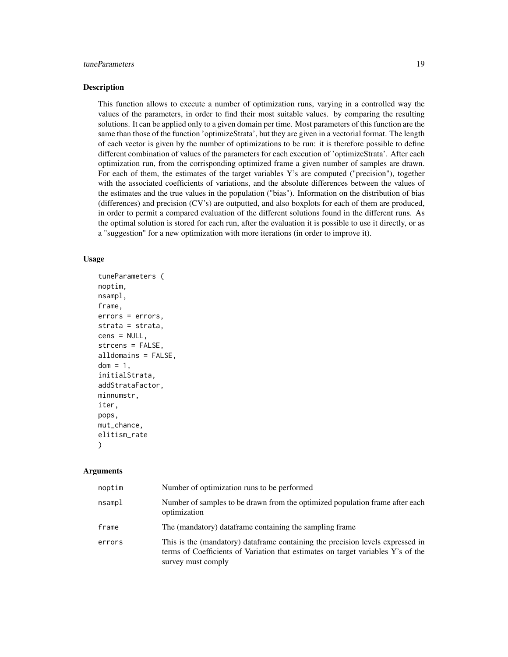#### tuneParameters 19

#### Description

This function allows to execute a number of optimization runs, varying in a controlled way the values of the parameters, in order to find their most suitable values. by comparing the resulting solutions. It can be applied only to a given domain per time. Most parameters of this function are the same than those of the function 'optimizeStrata', but they are given in a vectorial format. The length of each vector is given by the number of optimizations to be run: it is therefore possible to define different combination of values of the parameters for each execution of 'optimizeStrata'. After each optimization run, from the corrisponding optimized frame a given number of samples are drawn. For each of them, the estimates of the target variables Y's are computed ("precision"), together with the associated coefficients of variations, and the absolute differences between the values of the estimates and the true values in the population ("bias"). Information on the distribution of bias (differences) and precision (CV's) are outputted, and also boxplots for each of them are produced, in order to permit a compared evaluation of the different solutions found in the different runs. As the optimal solution is stored for each run, after the evaluation it is possible to use it directly, or as a "suggestion" for a new optimization with more iterations (in order to improve it).

#### Usage

```
tuneParameters (
noptim,
nsampl,
frame,
errors = errors,
strata = strata,
cens = NULL,
strcens = FALSE,
alldomains = FALSE,
dom = 1,
initialStrata,
addStrataFactor,
minnumstr,
iter,
pops,
mut_chance,
elitism_rate
)
```
#### Arguments

| noptim | Number of optimization runs to be performed                                                                                                                                              |
|--------|------------------------------------------------------------------------------------------------------------------------------------------------------------------------------------------|
| nsamp1 | Number of samples to be drawn from the optimized population frame after each<br>optimization                                                                                             |
| frame  | The (mandatory) dataframe containing the sampling frame                                                                                                                                  |
| errors | This is the (mandatory) dataframe containing the precision levels expressed in<br>terms of Coefficients of Variation that estimates on target variables Y's of the<br>survey must comply |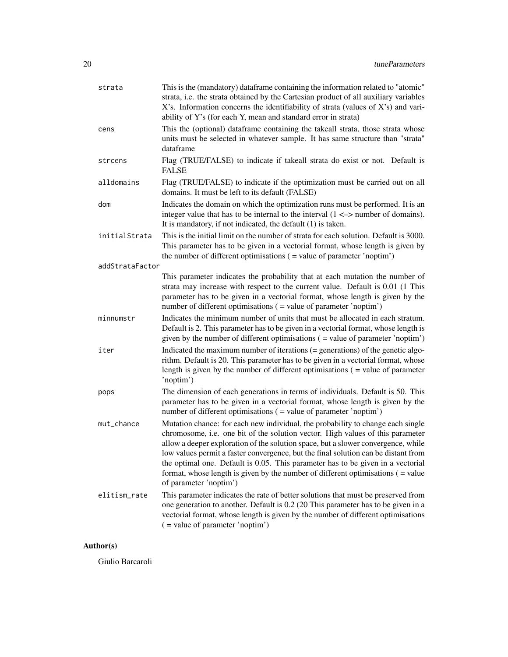| strata          | This is the (mandatory) dataframe containing the information related to "atomic"<br>strata, i.e. the strata obtained by the Cartesian product of all auxiliary variables<br>X's. Information concerns the identifiability of strata (values of X's) and vari-<br>ability of Y's (for each Y, mean and standard error in strata)                                                                                                                                                                                                                 |
|-----------------|-------------------------------------------------------------------------------------------------------------------------------------------------------------------------------------------------------------------------------------------------------------------------------------------------------------------------------------------------------------------------------------------------------------------------------------------------------------------------------------------------------------------------------------------------|
| cens            | This the (optional) dataframe containing the takeall strata, those strata whose<br>units must be selected in whatever sample. It has same structure than "strata"<br>dataframe                                                                                                                                                                                                                                                                                                                                                                  |
| strcens         | Flag (TRUE/FALSE) to indicate if takeall strata do exist or not. Default is<br><b>FALSE</b>                                                                                                                                                                                                                                                                                                                                                                                                                                                     |
| alldomains      | Flag (TRUE/FALSE) to indicate if the optimization must be carried out on all<br>domains. It must be left to its default (FALSE)                                                                                                                                                                                                                                                                                                                                                                                                                 |
| dom             | Indicates the domain on which the optimization runs must be performed. It is an<br>integer value that has to be internal to the interval $(1 \le -\ge)$ number of domains).<br>It is mandatory, if not indicated, the default $(1)$ is taken.                                                                                                                                                                                                                                                                                                   |
| initialStrata   | This is the initial limit on the number of strata for each solution. Default is 3000.<br>This parameter has to be given in a vectorial format, whose length is given by<br>the number of different optimisations $($ = value of parameter 'noptim' $)$                                                                                                                                                                                                                                                                                          |
| addStrataFactor |                                                                                                                                                                                                                                                                                                                                                                                                                                                                                                                                                 |
|                 | This parameter indicates the probability that at each mutation the number of<br>strata may increase with respect to the current value. Default is 0.01 (1 This<br>parameter has to be given in a vectorial format, whose length is given by the<br>number of different optimisations ( = value of parameter 'noptim')                                                                                                                                                                                                                           |
| minnumstr       | Indicates the minimum number of units that must be allocated in each stratum.<br>Default is 2. This parameter has to be given in a vectorial format, whose length is<br>given by the number of different optimisations $($ = value of parameter 'noptim' $)$                                                                                                                                                                                                                                                                                    |
| iter            | Indicated the maximum number of iterations $(=$ generations) of the genetic algo-<br>rithm. Default is 20. This parameter has to be given in a vectorial format, whose<br>length is given by the number of different optimisations $($ = value of parameter<br>'noptim')                                                                                                                                                                                                                                                                        |
| pops            | The dimension of each generations in terms of individuals. Default is 50. This<br>parameter has to be given in a vectorial format, whose length is given by the<br>number of different optimisations ( = value of parameter 'noptim')                                                                                                                                                                                                                                                                                                           |
| mut_chance      | Mutation chance: for each new individual, the probability to change each single<br>chromosome, i.e. one bit of the solution vector. High values of this parameter<br>allow a deeper exploration of the solution space, but a slower convergence, while<br>low values permit a faster convergence, but the final solution can be distant from<br>the optimal one. Default is 0.05. This parameter has to be given in a vectorial<br>format, whose length is given by the number of different optimisations $($ = value<br>of parameter 'noptim') |
| elitism_rate    | This parameter indicates the rate of better solutions that must be preserved from<br>one generation to another. Default is 0.2 (20 This parameter has to be given in a<br>vectorial format, whose length is given by the number of different optimisations<br>( = value of parameter 'noptim')                                                                                                                                                                                                                                                  |

### Author(s)

Giulio Barcaroli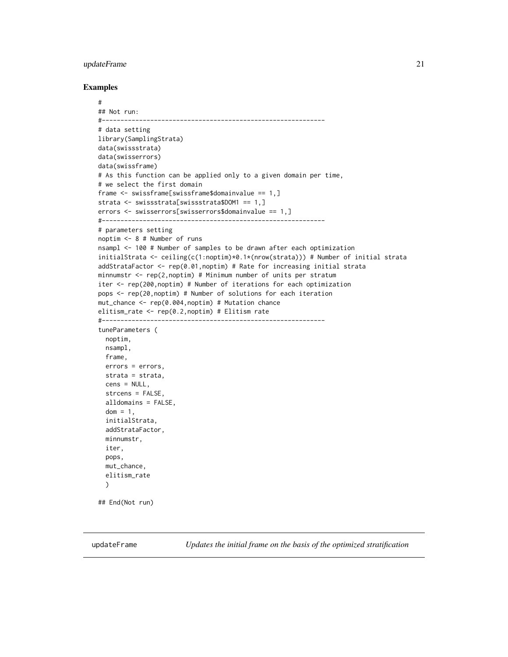#### <span id="page-20-0"></span>updateFrame 21

#### Examples

```
#
## Not run:
#------------------------------------------------------------
# data setting
library(SamplingStrata)
data(swissstrata)
data(swisserrors)
data(swissframe)
# As this function can be applied only to a given domain per time,
# we select the first domain
frame <- swissframe[swissframe$domainvalue == 1,]
strata <- swissstrata[swissstrata$DOM1 == 1,]
errors <- swisserrors[swisserrors$domainvalue == 1,]
#------------------------------------------------------------
# parameters setting
noptim <- 8 # Number of runs
nsampl <- 100 # Number of samples to be drawn after each optimization
initialStrata <- ceiling(c(1:noptim)*0.1*(nrow(strata))) # Number of initial strata
addStrataFactor <- rep(0.01,noptim) # Rate for increasing initial strata
minnumstr <- rep(2,noptim) # Minimum number of units per stratum
iter <- rep(200,noptim) # Number of iterations for each optimization
pops <- rep(20,noptim) # Number of solutions for each iteration
mut_chance <- rep(0.004,noptim) # Mutation chance
elitism_rate <- rep(0.2,noptim) # Elitism rate
#------------------------------------------------------------
tuneParameters (
 noptim,
 nsampl,
  frame,
  errors = errors,
  strata = strata,
  cens = NULL,
  strcens = FALSE,
  alldomains = FALSE,
  dom = 1,
  initialStrata,
  addStrataFactor,
  minnumstr,
  iter,
  pops,
  mut_chance,
  elitism_rate
  \lambda## End(Not run)
```
updateFrame *Updates the initial frame on the basis of the optimized stratification*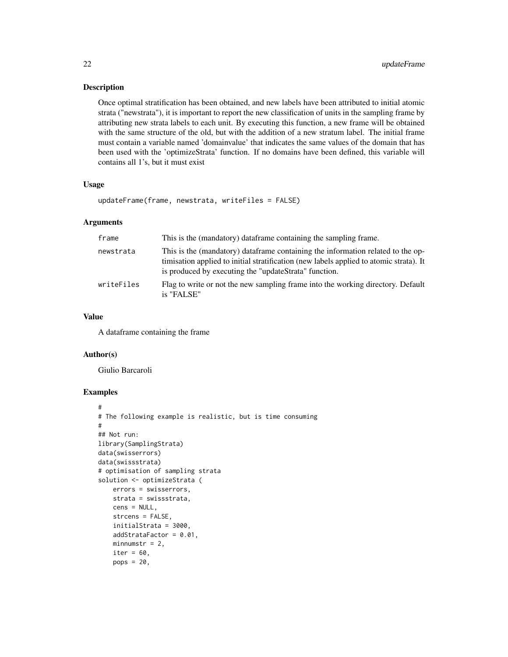#### Description

Once optimal stratification has been obtained, and new labels have been attributed to initial atomic strata ("newstrata"), it is important to report the new classification of units in the sampling frame by attributing new strata labels to each unit. By executing this function, a new frame will be obtained with the same structure of the old, but with the addition of a new stratum label. The initial frame must contain a variable named 'domainvalue' that indicates the same values of the domain that has been used with the 'optimizeStrata' function. If no domains have been defined, this variable will contains all 1's, but it must exist

#### Usage

updateFrame(frame, newstrata, writeFiles = FALSE)

#### Arguments

| frame      | This is the (mandatory) dataframe containing the sampling frame.                                                                                                                                                                   |
|------------|------------------------------------------------------------------------------------------------------------------------------------------------------------------------------------------------------------------------------------|
| newstrata  | This is the (mandatory) dataframe containing the information related to the op-<br>timisation applied to initial stratification (new labels applied to atomic strata). It<br>is produced by executing the "updateStrata" function. |
| writeFiles | Flag to write or not the new sampling frame into the working directory. Default<br>is "FALSE"                                                                                                                                      |

#### Value

A dataframe containing the frame

#### Author(s)

Giulio Barcaroli

```
#
# The following example is realistic, but is time consuming
#
## Not run:
library(SamplingStrata)
data(swisserrors)
data(swissstrata)
# optimisation of sampling strata
solution <- optimizeStrata (
   errors = swisserrors,
   strata = swissstrata,
   cens = NULL,
    strcens = FALSE,
    initialStrata = 3000,
    addStrataFactor = 0.01,
    minnumstr = 2,
    iter = 60,
    pops = 20,
```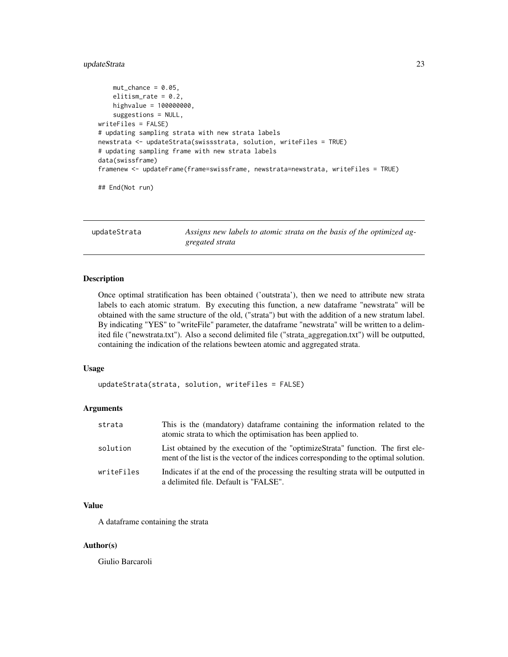#### <span id="page-22-0"></span>updateStrata 23

```
mut{\_}chance = 0.05,elitism_rate = 0.2,
   highvalue = 100000000,
    suggestions = NULL,
writeFiles = FALSE)
# updating sampling strata with new strata labels
newstrata <- updateStrata(swissstrata, solution, writeFiles = TRUE)
# updating sampling frame with new strata labels
data(swissframe)
framenew <- updateFrame(frame=swissframe, newstrata=newstrata, writeFiles = TRUE)
## End(Not run)
```
updateStrata *Assigns new labels to atomic strata on the basis of the optimized aggregated strata*

#### Description

Once optimal stratification has been obtained ('outstrata'), then we need to attribute new strata labels to each atomic stratum. By executing this function, a new dataframe "newstrata" will be obtained with the same structure of the old, ("strata") but with the addition of a new stratum label. By indicating "YES" to "writeFile" parameter, the dataframe "newstrata" will be written to a delimited file ("newstrata.txt"). Also a second delimited file ("strata\_aggregation.txt") will be outputted, containing the indication of the relations bewteen atomic and aggregated strata.

#### Usage

updateStrata(strata, solution, writeFiles = FALSE)

#### Arguments

| strata     | This is the (mandatory) dataframe containing the information related to the<br>atomic strata to which the optimisation has been applied to.                             |
|------------|-------------------------------------------------------------------------------------------------------------------------------------------------------------------------|
| solution   | List obtained by the execution of the "optimizeStrata" function. The first ele-<br>ment of the list is the vector of the indices corresponding to the optimal solution. |
| writeFiles | Indicates if at the end of the processing the resulting strata will be outputted in<br>a delimited file. Default is "FALSE".                                            |

#### Value

A dataframe containing the strata

#### Author(s)

Giulio Barcaroli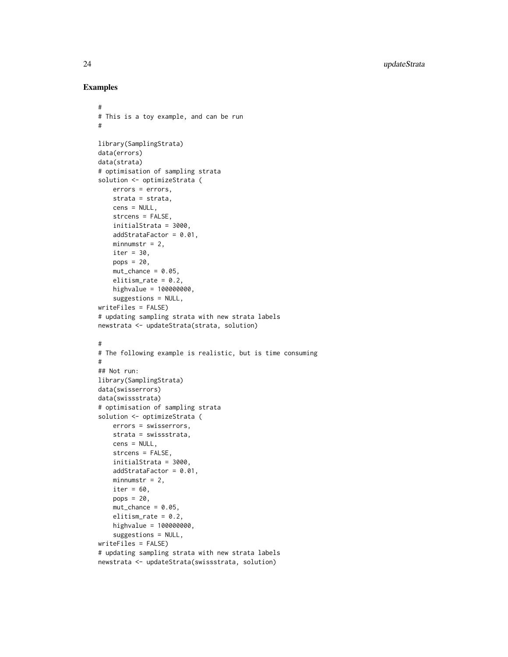```
#
# This is a toy example, and can be run
#
library(SamplingStrata)
data(errors)
data(strata)
# optimisation of sampling strata
solution <- optimizeStrata (
   errors = errors,
   strata = strata,
   cens = NULL,
   strcens = FALSE,
   initialStrata = 3000,
   addStrataFactor = 0.01,
   minnumstr = 2,
   iter = 30,
   pops = 20,
   mut{\_}chance = 0.05,elitism_rate = 0.2,
   highvalue = 100000000,
    suggestions = NULL,
writeFiles = FALSE)
# updating sampling strata with new strata labels
newstrata <- updateStrata(strata, solution)
#
# The following example is realistic, but is time consuming
#
## Not run:
library(SamplingStrata)
data(swisserrors)
data(swissstrata)
# optimisation of sampling strata
solution <- optimizeStrata (
   errors = swisserrors,
   strata = swissstrata,
   cens = NULL,
   strcens = FALSE,
   initialStrata = 3000,
   addStrataFactor = 0.01,
   minnumstr = 2,
   iter = 60,
   pops = 20,
   mut{\_}chance = 0.05,elitism_rate = 0.2,
   highvalue = 100000000,
    suggestions = NULL,
writeFiles = FALSE)
# updating sampling strata with new strata labels
newstrata <- updateStrata(swissstrata, solution)
```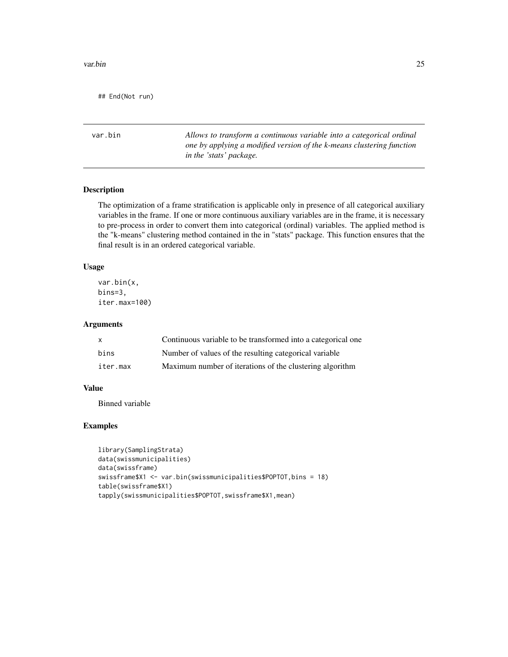<span id="page-24-0"></span>## End(Not run)

var.bin *Allows to transform a continuous variable into a categorical ordinal one by applying a modified version of the k-means clustering function in the 'stats' package.*

#### Description

The optimization of a frame stratification is applicable only in presence of all categorical auxiliary variables in the frame. If one or more continuous auxiliary variables are in the frame, it is necessary to pre-process in order to convert them into categorical (ordinal) variables. The applied method is the "k-means" clustering method contained in the in "stats" package. This function ensures that the final result is in an ordered categorical variable.

#### Usage

var.bin(x, bins=3, iter.max=100)

#### Arguments

| $\mathsf{x}$ | Continuous variable to be transformed into a categorical one |
|--------------|--------------------------------------------------------------|
| bins         | Number of values of the resulting categorical variable       |
| iter.max     | Maximum number of iterations of the clustering algorithm     |

#### Value

Binned variable

```
library(SamplingStrata)
data(swissmunicipalities)
data(swissframe)
swissframe$X1 <- var.bin(swissmunicipalities$POPTOT,bins = 18)
table(swissframe$X1)
tapply(swissmunicipalities$POPTOT,swissframe$X1,mean)
```